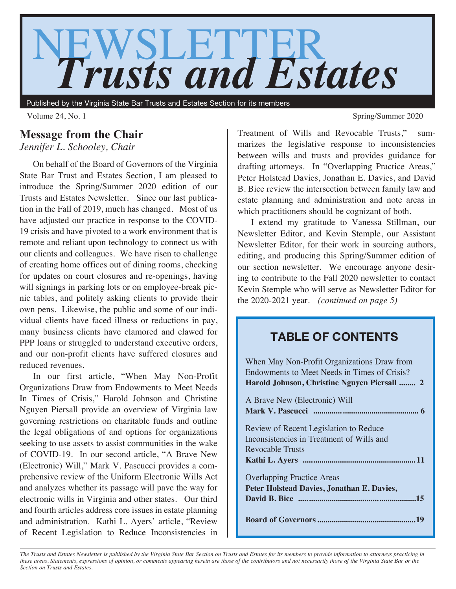

Published by the Virginia State Bar Trusts and Estates Section for its members

# **Message from the Chair**

*Jennifer L. Schooley, Chair*

On behalf of the Board of Governors of the Virginia State Bar Trust and Estates Section, I am pleased to introduce the Spring/Summer 2020 edition of our Trusts and Estates Newsletter. Since our last publication in the Fall of 2019, much has changed. Most of us have adjusted our practice in response to the COVID-19 crisis and have pivoted to a work environment that is remote and reliant upon technology to connect us with our clients and colleagues. We have risen to challenge of creating home offices out of dining rooms, checking for updates on court closures and re-openings, having will signings in parking lots or on employee-break picnic tables, and politely asking clients to provide their own pens. Likewise, the public and some of our individual clients have faced illness or reductions in pay, many business clients have clamored and clawed for PPP loans or struggled to understand executive orders, and our non-profit clients have suffered closures and reduced revenues.

In our first article, "When May Non-Profit Organizations Draw from Endowments to Meet Needs In Times of Crisis," Harold Johnson and Christine Nguyen Piersall provide an overview of Virginia law governing restrictions on charitable funds and outline the legal obligations of and options for organizations seeking to use assets to assist communities in the wake of COVID-19. In our second article, "A Brave New (Electronic) Will," Mark V. Pascucci provides a comprehensive review of the Uniform Electronic Wills Act and analyzes whether its passage will pave the way for electronic wills in Virginia and other states. Our third and fourth articles address core issues in estate planning and administration. Kathi L. Ayers' article, "Review of Recent Legislation to Reduce Inconsistencies in

Volume 24, No. 1 Spring/Summer 2020

Treatment of Wills and Revocable Trusts," summarizes the legislative response to inconsistencies between wills and trusts and provides guidance for drafting attorneys. In "Overlapping Practice Areas," Peter Holstead Davies, Jonathan E. Davies, and David B. Bice review the intersection between family law and estate planning and administration and note areas in which practitioners should be cognizant of both.

I extend my gratitude to Vanessa Stillman, our Newsletter Editor, and Kevin Stemple, our Assistant Newsletter Editor, for their work in sourcing authors, editing, and producing this Spring/Summer edition of our section newsletter. We encourage anyone desiring to contribute to the Fall 2020 newsletter to contact Kevin Stemple who will serve as Newsletter Editor for the 2020-2021 year. *(continued on page 5)*

# **TABLE OF CONTENTS**

| When May Non-Profit Organizations Draw from<br>Endowments to Meet Needs in Times of Crisis?<br>Harold Johnson, Christine Nguyen Piersall  2 |
|---------------------------------------------------------------------------------------------------------------------------------------------|
| A Brave New (Electronic) Will                                                                                                               |
|                                                                                                                                             |
| Review of Recent Legislation to Reduce                                                                                                      |
| Inconsistencies in Treatment of Wills and                                                                                                   |
| Revocable Trusts                                                                                                                            |
|                                                                                                                                             |
| <b>Overlapping Practice Areas</b>                                                                                                           |
| Peter Holstead Davies, Jonathan E. Davies,                                                                                                  |
|                                                                                                                                             |
|                                                                                                                                             |

*The Trusts and Estates Newsletter is published by the Virginia State Bar Section on Trusts and Estates for its members to provide information to attorneys practicing in these areas. Statements, expressions of opinion, or comments appearing herein are those of the contributors and not necessarily those of the Virginia State Bar or the Section on Trusts and Estates.*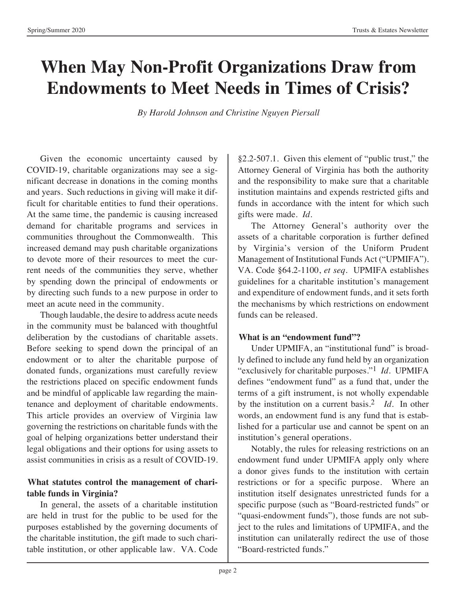# **When May Non-Profit Organizations Draw from Endowments to Meet Needs in Times of Crisis?**

*By Harold Johnson and Christine Nguyen Piersall*

Given the economic uncertainty caused by COVID-19, charitable organizations may see a significant decrease in donations in the coming months and years. Such reductions in giving will make it difficult for charitable entities to fund their operations. At the same time, the pandemic is causing increased demand for charitable programs and services in communities throughout the Commonwealth. This increased demand may push charitable organizations to devote more of their resources to meet the current needs of the communities they serve, whether by spending down the principal of endowments or by directing such funds to a new purpose in order to meet an acute need in the community.

Though laudable, the desire to address acute needs in the community must be balanced with thoughtful deliberation by the custodians of charitable assets. Before seeking to spend down the principal of an endowment or to alter the charitable purpose of donated funds, organizations must carefully review the restrictions placed on specific endowment funds and be mindful of applicable law regarding the maintenance and deployment of charitable endowments. This article provides an overview of Virginia law governing the restrictions on charitable funds with the goal of helping organizations better understand their legal obligations and their options for using assets to assist communities in crisis as a result of COVID-19.

### **What statutes control the management of charitable funds in Virginia?**

In general, the assets of a charitable institution are held in trust for the public to be used for the purposes established by the governing documents of the charitable institution, the gift made to such charitable institution, or other applicable law. VA. Code

§2.2-507.1. Given this element of "public trust," the Attorney General of Virginia has both the authority and the responsibility to make sure that a charitable institution maintains and expends restricted gifts and funds in accordance with the intent for which such gifts were made. *Id.*

The Attorney General's authority over the assets of a charitable corporation is further defined by Virginia's version of the Uniform Prudent Management of Institutional Funds Act ("UPMIFA"). VA. Code §64.2-1100, *et seq.* UPMIFA establishes guidelines for a charitable institution's management and expenditure of endowment funds, and it sets forth the mechanisms by which restrictions on endowment funds can be released.

#### **What is an "endowment fund"?**

Under UPMIFA, an "institutional fund" is broadly defined to include any fund held by an organization "exclusively for charitable purposes."1 *Id.* UPMIFA defines "endowment fund" as a fund that, under the terms of a gift instrument, is not wholly expendable by the institution on a current basis.2 *Id.* In other words, an endowment fund is any fund that is established for a particular use and cannot be spent on an institution's general operations.

Notably, the rules for releasing restrictions on an endowment fund under UPMIFA apply only where a donor gives funds to the institution with certain restrictions or for a specific purpose. Where an institution itself designates unrestricted funds for a specific purpose (such as "Board-restricted funds" or "quasi-endowment funds"), those funds are not subject to the rules and limitations of UPMIFA, and the institution can unilaterally redirect the use of those "Board-restricted funds."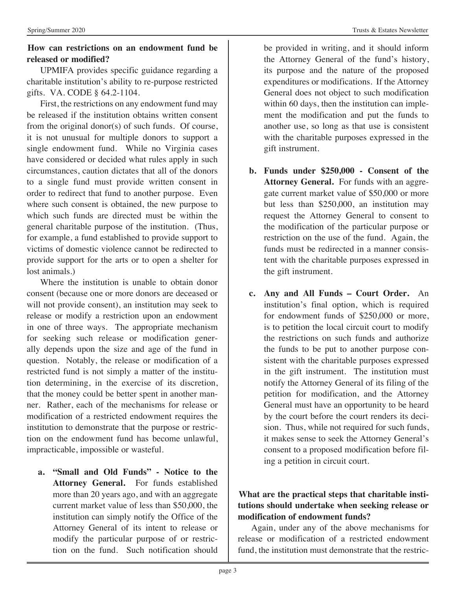# **How can restrictions on an endowment fund be released or modified?**

UPMIFA provides specific guidance regarding a charitable institution's ability to re-purpose restricted gifts. VA. CODE § 64.2-1104.

First, the restrictions on any endowment fund may be released if the institution obtains written consent from the original donor(s) of such funds. Of course, it is not unusual for multiple donors to support a single endowment fund. While no Virginia cases have considered or decided what rules apply in such circumstances, caution dictates that all of the donors to a single fund must provide written consent in order to redirect that fund to another purpose. Even where such consent is obtained, the new purpose to which such funds are directed must be within the general charitable purpose of the institution. (Thus, for example, a fund established to provide support to victims of domestic violence cannot be redirected to provide support for the arts or to open a shelter for lost animals.)

Where the institution is unable to obtain donor consent (because one or more donors are deceased or will not provide consent), an institution may seek to release or modify a restriction upon an endowment in one of three ways. The appropriate mechanism for seeking such release or modification generally depends upon the size and age of the fund in question. Notably, the release or modification of a restricted fund is not simply a matter of the institution determining, in the exercise of its discretion, that the money could be better spent in another manner. Rather, each of the mechanisms for release or modification of a restricted endowment requires the institution to demonstrate that the purpose or restriction on the endowment fund has become unlawful, impracticable, impossible or wasteful.

**a. "Small and Old Funds" - Notice to the Attorney General.** For funds established more than 20 years ago, and with an aggregate current market value of less than \$50,000, the institution can simply notify the Office of the Attorney General of its intent to release or modify the particular purpose of or restriction on the fund. Such notification should be provided in writing, and it should inform the Attorney General of the fund's history, its purpose and the nature of the proposed expenditures or modifications. If the Attorney General does not object to such modification within 60 days, then the institution can implement the modification and put the funds to another use, so long as that use is consistent with the charitable purposes expressed in the gift instrument.

- **b. Funds under \$250,000 Consent of the Attorney General.** For funds with an aggregate current market value of \$50,000 or more but less than \$250,000, an institution may request the Attorney General to consent to the modification of the particular purpose or restriction on the use of the fund. Again, the funds must be redirected in a manner consistent with the charitable purposes expressed in the gift instrument.
- **c. Any and All Funds Court Order.** An institution's final option, which is required for endowment funds of \$250,000 or more, is to petition the local circuit court to modify the restrictions on such funds and authorize the funds to be put to another purpose consistent with the charitable purposes expressed in the gift instrument. The institution must notify the Attorney General of its filing of the petition for modification, and the Attorney General must have an opportunity to be heard by the court before the court renders its decision. Thus, while not required for such funds, it makes sense to seek the Attorney General's consent to a proposed modification before filing a petition in circuit court.

# **What are the practical steps that charitable institutions should undertake when seeking release or modification of endowment funds?**

Again, under any of the above mechanisms for release or modification of a restricted endowment fund, the institution must demonstrate that the restric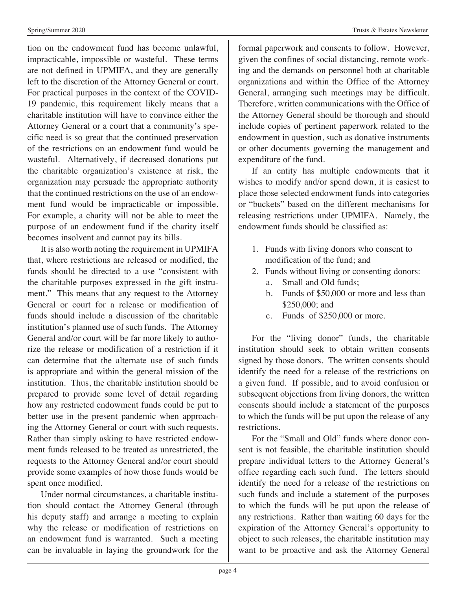tion on the endowment fund has become unlawful, impracticable, impossible or wasteful. These terms are not defined in UPMIFA, and they are generally left to the discretion of the Attorney General or court. For practical purposes in the context of the COVID-19 pandemic, this requirement likely means that a charitable institution will have to convince either the Attorney General or a court that a community's specific need is so great that the continued preservation of the restrictions on an endowment fund would be wasteful. Alternatively, if decreased donations put the charitable organization's existence at risk, the organization may persuade the appropriate authority that the continued restrictions on the use of an endowment fund would be impracticable or impossible. For example, a charity will not be able to meet the purpose of an endowment fund if the charity itself becomes insolvent and cannot pay its bills.

It is also worth noting the requirement in UPMIFA that, where restrictions are released or modified, the funds should be directed to a use "consistent with the charitable purposes expressed in the gift instrument." This means that any request to the Attorney General or court for a release or modification of funds should include a discussion of the charitable institution's planned use of such funds. The Attorney General and/or court will be far more likely to authorize the release or modification of a restriction if it can determine that the alternate use of such funds is appropriate and within the general mission of the institution. Thus, the charitable institution should be prepared to provide some level of detail regarding how any restricted endowment funds could be put to better use in the present pandemic when approaching the Attorney General or court with such requests. Rather than simply asking to have restricted endowment funds released to be treated as unrestricted, the requests to the Attorney General and/or court should provide some examples of how those funds would be spent once modified.

Under normal circumstances, a charitable institution should contact the Attorney General (through his deputy staff) and arrange a meeting to explain why the release or modification of restrictions on an endowment fund is warranted. Such a meeting can be invaluable in laying the groundwork for the

formal paperwork and consents to follow. However, given the confines of social distancing, remote working and the demands on personnel both at charitable organizations and within the Office of the Attorney General, arranging such meetings may be difficult. Therefore, written communications with the Office of the Attorney General should be thorough and should include copies of pertinent paperwork related to the endowment in question, such as donative instruments or other documents governing the management and expenditure of the fund.

If an entity has multiple endowments that it wishes to modify and/or spend down, it is easiest to place those selected endowment funds into categories or "buckets" based on the different mechanisms for releasing restrictions under UPMIFA. Namely, the endowment funds should be classified as:

- 1. Funds with living donors who consent to modification of the fund; and
- 2. Funds without living or consenting donors:
	- a. Small and Old funds;
	- b. Funds of \$50,000 or more and less than \$250,000; and
	- c. Funds of \$250,000 or more.

For the "living donor" funds, the charitable institution should seek to obtain written consents signed by those donors. The written consents should identify the need for a release of the restrictions on a given fund. If possible, and to avoid confusion or subsequent objections from living donors, the written consents should include a statement of the purposes to which the funds will be put upon the release of any restrictions.

For the "Small and Old" funds where donor consent is not feasible, the charitable institution should prepare individual letters to the Attorney General's office regarding each such fund. The letters should identify the need for a release of the restrictions on such funds and include a statement of the purposes to which the funds will be put upon the release of any restrictions. Rather than waiting 60 days for the expiration of the Attorney General's opportunity to object to such releases, the charitable institution may want to be proactive and ask the Attorney General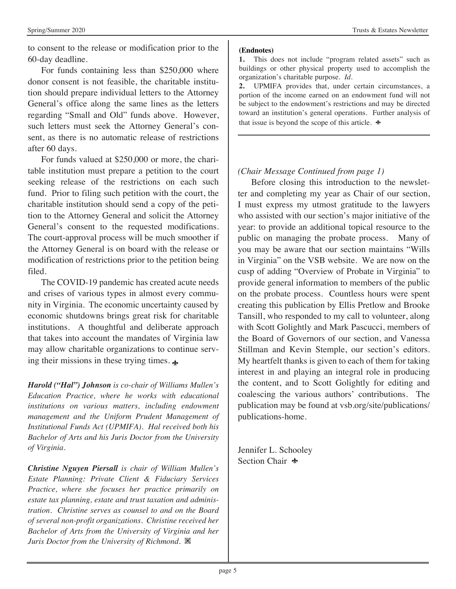to consent to the release or modification prior to the 60-day deadline.

For funds containing less than \$250,000 where donor consent is not feasible, the charitable institution should prepare individual letters to the Attorney General's office along the same lines as the letters regarding "Small and Old" funds above. However, such letters must seek the Attorney General's consent, as there is no automatic release of restrictions after 60 days.

For funds valued at \$250,000 or more, the charitable institution must prepare a petition to the court seeking release of the restrictions on each such fund. Prior to filing such petition with the court, the charitable institution should send a copy of the petition to the Attorney General and solicit the Attorney General's consent to the requested modifications. The court-approval process will be much smoother if the Attorney General is on board with the release or modification of restrictions prior to the petition being filed.

The COVID-19 pandemic has created acute needs and crises of various types in almost every community in Virginia. The economic uncertainty caused by economic shutdowns brings great risk for charitable institutions. A thoughtful and deliberate approach that takes into account the mandates of Virginia law may allow charitable organizations to continue serving their missions in these trying times.

*Harold ("Hal") Johnson is co-chair of Williams Mullen's Education Practice, where he works with educational institutions on various matters, including endowment management and the Uniform Prudent Management of Institutional Funds Act (UPMIFA). Hal received both his Bachelor of Arts and his Juris Doctor from the University of Virginia.*

*Christine Nguyen Piersall is chair of William Mullen's Estate Planning: Private Client & Fiduciary Services Practice, where she focuses her practice primarily on estate tax planning, estate and trust taxation and administration. Christine serves as counsel to and on the Board of several non-profit organizations. Christine received her Bachelor of Arts from the University of Virginia and her Juris Doctor from the University of Richmond.* X

#### **(Endnotes)**

**1.** This does not include "program related assets" such as buildings or other physical property used to accomplish the organization's charitable purpose. *Id.*

**2.** UPMIFA provides that, under certain circumstances, a portion of the income earned on an endowment fund will not be subject to the endowment's restrictions and may be directed toward an institution's general operations. Further analysis of that issue is beyond the scope of this article.  $\triangleleft$ 

#### *(Chair Message Continued from page 1)*

Before closing this introduction to the newsletter and completing my year as Chair of our section, I must express my utmost gratitude to the lawyers who assisted with our section's major initiative of the year: to provide an additional topical resource to the public on managing the probate process. Many of you may be aware that our section maintains "Wills in Virginia" on the VSB website. We are now on the cusp of adding "Overview of Probate in Virginia" to provide general information to members of the public on the probate process. Countless hours were spent creating this publication by Ellis Pretlow and Brooke Tansill, who responded to my call to volunteer, along with Scott Golightly and Mark Pascucci, members of the Board of Governors of our section, and Vanessa Stillman and Kevin Stemple, our section's editors. My heartfelt thanks is given to each of them for taking interest in and playing an integral role in producing the content, and to Scott Golightly for editing and coalescing the various authors' contributions. The publication may be found at vsb.org/site/publications/ publications-home.

Jennifer L. Schooley Section Chair  $\triangle$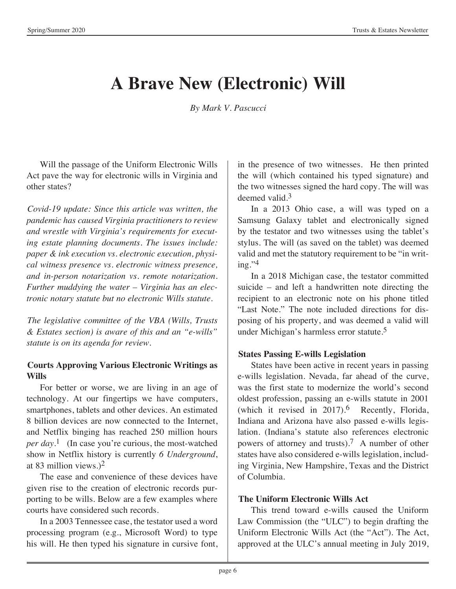# **A Brave New (Electronic) Will**

*By Mark V. Pascucci*

Will the passage of the Uniform Electronic Wills Act pave the way for electronic wills in Virginia and other states?

*Covid-19 update: Since this article was written, the pandemic has caused Virginia practitioners to review and wrestle with Virginia's requirements for executing estate planning documents. The issues include: paper & ink execution vs. electronic execution, physical witness presence vs. electronic witness presence, and in-person notarization vs. remote notarization. Further muddying the water – Virginia has an electronic notary statute but no electronic Wills statute.* 

*The legislative committee of the VBA (Wills, Trusts & Estates section) is aware of this and an "e-wills" statute is on its agenda for review.* 

# **Courts Approving Various Electronic Writings as Wills**

For better or worse, we are living in an age of technology. At our fingertips we have computers, smartphones, tablets and other devices. An estimated 8 billion devices are now connected to the Internet, and Netflix binging has reached 250 million hours *per day*. 1 (In case you're curious, the most-watched show in Netflix history is currently *6 Underground*, at 83 million views.)2

The ease and convenience of these devices have given rise to the creation of electronic records purporting to be wills. Below are a few examples where courts have considered such records.

In a 2003 Tennessee case, the testator used a word processing program (e.g., Microsoft Word) to type his will. He then typed his signature in cursive font, in the presence of two witnesses. He then printed the will (which contained his typed signature) and the two witnesses signed the hard copy. The will was deemed valid.3

In a 2013 Ohio case, a will was typed on a Samsung Galaxy tablet and electronically signed by the testator and two witnesses using the tablet's stylus. The will (as saved on the tablet) was deemed valid and met the statutory requirement to be "in writ $ine.$ <sup>'4</sup>

In a 2018 Michigan case, the testator committed suicide – and left a handwritten note directing the recipient to an electronic note on his phone titled "Last Note." The note included directions for disposing of his property, and was deemed a valid will under Michigan's harmless error statute.5

# **States Passing E-wills Legislation**

States have been active in recent years in passing e-wills legislation. Nevada, far ahead of the curve, was the first state to modernize the world's second oldest profession, passing an e-wills statute in 2001 (which it revised in  $2017$ ).<sup>6</sup> Recently, Florida, Indiana and Arizona have also passed e-wills legislation. (Indiana's statute also references electronic powers of attorney and trusts).7 A number of other states have also considered e-wills legislation, including Virginia, New Hampshire, Texas and the District of Columbia.

# **The Uniform Electronic Wills Act**

This trend toward e-wills caused the Uniform Law Commission (the "ULC") to begin drafting the Uniform Electronic Wills Act (the "Act"). The Act, approved at the ULC's annual meeting in July 2019,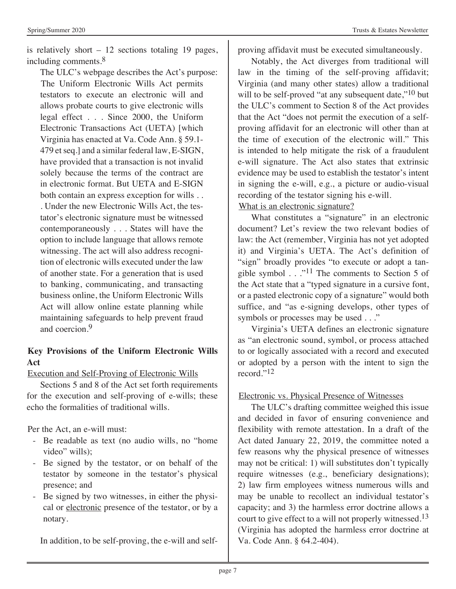is relatively short  $-12$  sections totaling 19 pages, including comments.8

The ULC's webpage describes the Act's purpose: The Uniform Electronic Wills Act permits testators to execute an electronic will and allows probate courts to give electronic wills legal effect . . . Since 2000, the Uniform Electronic Transactions Act (UETA) [which Virginia has enacted at Va. Code Ann. § 59.1- 479 et seq.] and a similar federal law, E-SIGN, have provided that a transaction is not invalid solely because the terms of the contract are in electronic format. But UETA and E-SIGN both contain an express exception for wills . . . Under the new Electronic Wills Act, the testator's electronic signature must be witnessed contemporaneously . . . States will have the option to include language that allows remote witnessing. The act will also address recognition of electronic wills executed under the law of another state. For a generation that is used to banking, communicating, and transacting business online, the Uniform Electronic Wills Act will allow online estate planning while maintaining safeguards to help prevent fraud and coercion<sup>9</sup>

# **Key Provisions of the Uniform Electronic Wills Act**

Execution and Self-Proving of Electronic Wills

Sections 5 and 8 of the Act set forth requirements for the execution and self-proving of e-wills; these echo the formalities of traditional wills.

Per the Act, an e-will must:

- Be readable as text (no audio wills, no "home video" wills);
- Be signed by the testator, or on behalf of the testator by someone in the testator's physical presence; and
- Be signed by two witnesses, in either the physical or electronic presence of the testator, or by a notary.

In addition, to be self-proving, the e-will and self-

proving affidavit must be executed simultaneously.

Notably, the Act diverges from traditional will law in the timing of the self-proving affidavit; Virginia (and many other states) allow a traditional will to be self-proved "at any subsequent date,"<sup>10</sup> but the ULC's comment to Section 8 of the Act provides that the Act "does not permit the execution of a selfproving affidavit for an electronic will other than at the time of execution of the electronic will." This is intended to help mitigate the risk of a fraudulent e-will signature. The Act also states that extrinsic evidence may be used to establish the testator's intent in signing the e-will, e.g., a picture or audio-visual recording of the testator signing his e-will. What is an electronic signature?

What constitutes a "signature" in an electronic

document? Let's review the two relevant bodies of law: the Act (remember, Virginia has not yet adopted it) and Virginia's UETA. The Act's definition of "sign" broadly provides "to execute or adopt a tangible symbol  $\ldots$ ."<sup>11</sup> The comments to Section 5 of the Act state that a "typed signature in a cursive font, or a pasted electronic copy of a signature" would both suffice, and "as e-signing develops, other types of symbols or processes may be used . . ."

Virginia's UETA defines an electronic signature as "an electronic sound, symbol, or process attached to or logically associated with a record and executed or adopted by a person with the intent to sign the record."12

Electronic vs. Physical Presence of Witnesses

The ULC's drafting committee weighed this issue and decided in favor of ensuring convenience and flexibility with remote attestation. In a draft of the Act dated January 22, 2019, the committee noted a few reasons why the physical presence of witnesses may not be critical: 1) will substitutes don't typically require witnesses (e.g., beneficiary designations); 2) law firm employees witness numerous wills and may be unable to recollect an individual testator's capacity; and 3) the harmless error doctrine allows a court to give effect to a will not properly witnessed.<sup>13</sup> (Virginia has adopted the harmless error doctrine at Va. Code Ann. § 64.2-404).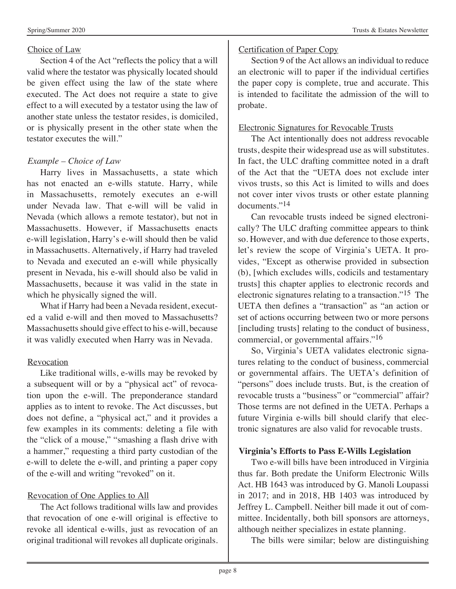#### Choice of Law

Section 4 of the Act "reflects the policy that a will valid where the testator was physically located should be given effect using the law of the state where executed. The Act does not require a state to give effect to a will executed by a testator using the law of another state unless the testator resides, is domiciled, or is physically present in the other state when the testator executes the will."

#### *Example – Choice of Law*

Harry lives in Massachusetts, a state which has not enacted an e-wills statute. Harry, while in Massachusetts, remotely executes an e-will under Nevada law. That e-will will be valid in Nevada (which allows a remote testator), but not in Massachusetts. However, if Massachusetts enacts e-will legislation, Harry's e-will should then be valid in Massachusetts. Alternatively, if Harry had traveled to Nevada and executed an e-will while physically present in Nevada, his e-will should also be valid in Massachusetts, because it was valid in the state in which he physically signed the will.

What if Harry had been a Nevada resident, executed a valid e-will and then moved to Massachusetts? Massachusetts should give effect to his e-will, because it was validly executed when Harry was in Nevada.

#### Revocation

Like traditional wills, e-wills may be revoked by a subsequent will or by a "physical act" of revocation upon the e-will. The preponderance standard applies as to intent to revoke. The Act discusses, but does not define, a "physical act," and it provides a few examples in its comments: deleting a file with the "click of a mouse," "smashing a flash drive with a hammer," requesting a third party custodian of the e-will to delete the e-will, and printing a paper copy of the e-will and writing "revoked" on it.

#### Revocation of One Applies to All

The Act follows traditional wills law and provides that revocation of one e-will original is effective to revoke all identical e-wills, just as revocation of an original traditional will revokes all duplicate originals.

#### Certification of Paper Copy

Section 9 of the Act allows an individual to reduce an electronic will to paper if the individual certifies the paper copy is complete, true and accurate. This is intended to facilitate the admission of the will to probate.

#### Electronic Signatures for Revocable Trusts

The Act intentionally does not address revocable trusts, despite their widespread use as will substitutes. In fact, the ULC drafting committee noted in a draft of the Act that the "UETA does not exclude inter vivos trusts, so this Act is limited to wills and does not cover inter vivos trusts or other estate planning documents."14

Can revocable trusts indeed be signed electronically? The ULC drafting committee appears to think so. However, and with due deference to those experts, let's review the scope of Virginia's UETA. It provides, "Except as otherwise provided in subsection (b), [which excludes wills, codicils and testamentary trusts] this chapter applies to electronic records and electronic signatures relating to a transaction."15 The UETA then defines a "transaction" as "an action or set of actions occurring between two or more persons [including trusts] relating to the conduct of business, commercial, or governmental affairs."16

So, Virginia's UETA validates electronic signatures relating to the conduct of business, commercial or governmental affairs. The UETA's definition of "persons" does include trusts. But, is the creation of revocable trusts a "business" or "commercial" affair? Those terms are not defined in the UETA. Perhaps a future Virginia e-wills bill should clarify that electronic signatures are also valid for revocable trusts.

#### **Virginia's Efforts to Pass E-Wills Legislation**

Two e-will bills have been introduced in Virginia thus far. Both predate the Uniform Electronic Wills Act. HB 1643 was introduced by G. Manoli Loupassi in 2017; and in 2018, HB 1403 was introduced by Jeffrey L. Campbell. Neither bill made it out of committee. Incidentally, both bill sponsors are attorneys, although neither specializes in estate planning.

The bills were similar; below are distinguishing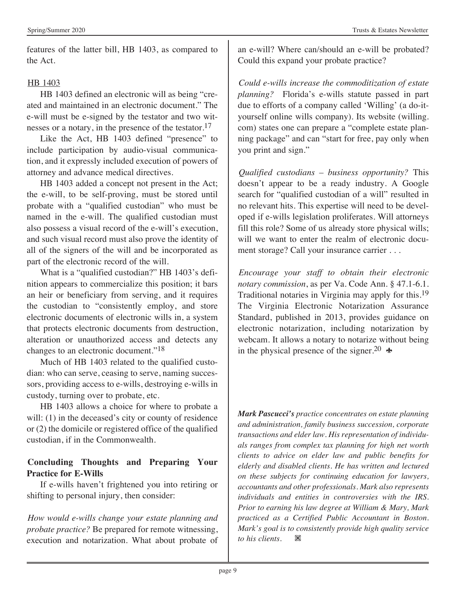features of the latter bill, HB 1403, as compared to the Act.

# HB 1403

HB 1403 defined an electronic will as being "created and maintained in an electronic document." The e-will must be e-signed by the testator and two witnesses or a notary, in the presence of the testator.17

Like the Act, HB 1403 defined "presence" to include participation by audio-visual communication, and it expressly included execution of powers of attorney and advance medical directives.

HB 1403 added a concept not present in the Act; the e-will, to be self-proving, must be stored until probate with a "qualified custodian" who must be named in the e-will. The qualified custodian must also possess a visual record of the e-will's execution, and such visual record must also prove the identity of all of the signers of the will and be incorporated as part of the electronic record of the will.

What is a "qualified custodian?" HB 1403's definition appears to commercialize this position; it bars an heir or beneficiary from serving, and it requires the custodian to "consistently employ, and store electronic documents of electronic wills in, a system that protects electronic documents from destruction, alteration or unauthorized access and detects any changes to an electronic document."18

Much of HB 1403 related to the qualified custodian: who can serve, ceasing to serve, naming successors, providing access to e-wills, destroying e-wills in custody, turning over to probate, etc.

HB 1403 allows a choice for where to probate a will: (1) in the deceased's city or county of residence or (2) the domicile or registered office of the qualified custodian, if in the Commonwealth.

# **Concluding Thoughts and Preparing Your Practice for E-Wills**

If e-wills haven't frightened you into retiring or shifting to personal injury, then consider:

*How would e-wills change your estate planning and probate practice?* Be prepared for remote witnessing, execution and notarization. What about probate of

an e-will? Where can/should an e-will be probated? Could this expand your probate practice?

*Could e-wills increase the commoditization of estate planning?* Florida's e-wills statute passed in part due to efforts of a company called 'Willing' (a do-ityourself online wills company). Its website (willing. com) states one can prepare a "complete estate planning package" and can "start for free, pay only when you print and sign."

*Qualified custodians – business opportunity?* This doesn't appear to be a ready industry. A Google search for "qualified custodian of a will" resulted in no relevant hits. This expertise will need to be developed if e-wills legislation proliferates. Will attorneys fill this role? Some of us already store physical wills; will we want to enter the realm of electronic document storage? Call your insurance carrier . . .

*Encourage your staff to obtain their electronic notary commission*, as per Va. Code Ann. § 47.1-6.1. Traditional notaries in Virginia may apply for this.19 The Virginia Electronic Notarization Assurance Standard, published in 2013, provides guidance on electronic notarization, including notarization by webcam. It allows a notary to notarize without being in the physical presence of the signer.<sup>20</sup>  $\star$ 

*Mark Pascucci's practice concentrates on estate planning and administration, family business succession, corporate transactions and elder law. His representation of individuals ranges from complex tax planning for high net worth clients to advice on elder law and public benefits for elderly and disabled clients. He has written and lectured on these subjects for continuing education for lawyers, accountants and other professionals. Mark also represents individuals and entities in controversies with the IRS. Prior to earning his law degree at William & Mary, Mark practiced as a Certified Public Accountant in Boston. Mark's goal is to consistently provide high quality service to his clients.* X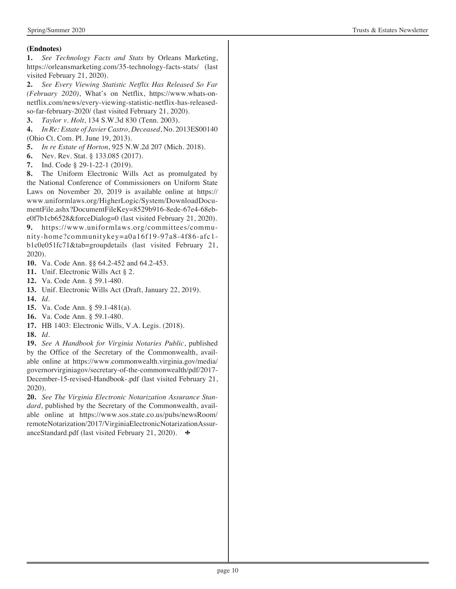#### **(Endnotes)**

**1.** *See Technology Facts and Stats* by Orleans Marketing, https://orleansmarketing.com/35-technology-facts-stats/ (last visited February 21, 2020).

**2.** *See Every Viewing Statistic Netflix Has Released So Far (February 2020)*, What's on Netflix, https://www.whats-onnetflix.com/news/every-viewing-statistic-netflix-has-releasedso-far-february-2020/ (last visited February 21, 2020).

**3.** *Taylor v. Holt*, 134 S.W.3d 830 (Tenn. 2003).

**4.** *In Re: Estate of Javier Castro, Deceased*, No. 2013ES00140 (Ohio Ct. Com. Pl. June 19, 2013).

- **5.** *In re Estate of Horton*, 925 N.W.2d 207 (Mich. 2018).
- **6.** Nev. Rev. Stat. § 133.085 (2017).
- **7.** Ind. Code § 29-1-22-1 (2019).

**8.** The Uniform Electronic Wills Act as promulgated by the National Conference of Commissioners on Uniform State Laws on November 20, 2019 is available online at https:// www.uniformlaws.org/HigherLogic/System/DownloadDocumentFile.ashx?DocumentFileKey=8529b916-8ede-67e4-68ebe0f7b1cb6528&forceDialog=0 (last visited February 21, 2020).

**9.** https://www.uniformlaws.org/committees/community-home?communitykey=a0a16f19-97a8-4f86-afc1 b1c0e051fc71&tab=groupdetails (last visited February 21, 2020).

- **10.** Va. Code Ann. §§ 64.2-452 and 64.2-453.
- **11.** Unif. Electronic Wills Act § 2.
- **12.** Va. Code Ann. § 59.1-480.
- **13.** Unif. Electronic Wills Act (Draft, January 22, 2019).
- **14.** *Id.*
- **15.** Va. Code Ann. § 59.1-481(a).
- **16.** Va. Code Ann. § 59.1-480.
- **17.** HB 1403: Electronic Wills, V.A. Legis. (2018).
- **18.** *Id.*

**19.** *See A Handbook for Virginia Notaries Public*, published by the Office of the Secretary of the Commonwealth, available online at https://www.commonwealth.virginia.gov/media/ governorvirginiagov/secretary-of-the-commonwealth/pdf/2017- December-15-revised-Handbook-.pdf (last visited February 21, 2020).

**20.** *See The Virginia Electronic Notarization Assurance Standard*, published by the Secretary of the Commonwealth, available online at https://www.sos.state.co.us/pubs/newsRoom/ remoteNotarization/2017/VirginiaElectronicNotarizationAssuranceStandard.pdf (last visited February 21, 2020).  $\bullet$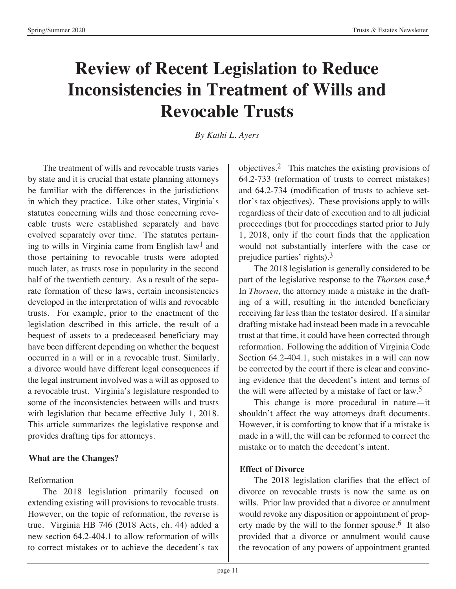# **Review of Recent Legislation to Reduce Inconsistencies in Treatment of Wills and Revocable Trusts**

*By Kathi L. Ayers*

The treatment of wills and revocable trusts varies by state and it is crucial that estate planning attorneys be familiar with the differences in the jurisdictions in which they practice. Like other states, Virginia's statutes concerning wills and those concerning revocable trusts were established separately and have evolved separately over time. The statutes pertaining to wills in Virginia came from English law<sup>1</sup> and those pertaining to revocable trusts were adopted much later, as trusts rose in popularity in the second half of the twentieth century. As a result of the separate formation of these laws, certain inconsistencies developed in the interpretation of wills and revocable trusts. For example, prior to the enactment of the legislation described in this article, the result of a bequest of assets to a predeceased beneficiary may have been different depending on whether the bequest occurred in a will or in a revocable trust. Similarly, a divorce would have different legal consequences if the legal instrument involved was a will as opposed to a revocable trust. Virginia's legislature responded to some of the inconsistencies between wills and trusts with legislation that became effective July 1, 2018. This article summarizes the legislative response and provides drafting tips for attorneys.

# **What are the Changes?**

# Reformation

The 2018 legislation primarily focused on extending existing will provisions to revocable trusts. However, on the topic of reformation, the reverse is true. Virginia HB 746 (2018 Acts, ch. 44) added a new section 64.2-404.1 to allow reformation of wills to correct mistakes or to achieve the decedent's tax objectives.2 This matches the existing provisions of 64.2-733 (reformation of trusts to correct mistakes) and 64.2-734 (modification of trusts to achieve settlor's tax objectives). These provisions apply to wills regardless of their date of execution and to all judicial proceedings (but for proceedings started prior to July 1, 2018, only if the court finds that the application would not substantially interfere with the case or prejudice parties' rights).3

The 2018 legislation is generally considered to be part of the legislative response to the *Thorsen* case.4 In *Thorsen*, the attorney made a mistake in the drafting of a will, resulting in the intended beneficiary receiving far less than the testator desired. If a similar drafting mistake had instead been made in a revocable trust at that time, it could have been corrected through reformation. Following the addition of Virginia Code Section 64.2-404.1, such mistakes in a will can now be corrected by the court if there is clear and convincing evidence that the decedent's intent and terms of the will were affected by a mistake of fact or law.5

This change is more procedural in nature—it shouldn't affect the way attorneys draft documents. However, it is comforting to know that if a mistake is made in a will, the will can be reformed to correct the mistake or to match the decedent's intent.

# **Effect of Divorce**

The 2018 legislation clarifies that the effect of divorce on revocable trusts is now the same as on wills. Prior law provided that a divorce or annulment would revoke any disposition or appointment of property made by the will to the former spouse.<sup>6</sup> It also provided that a divorce or annulment would cause the revocation of any powers of appointment granted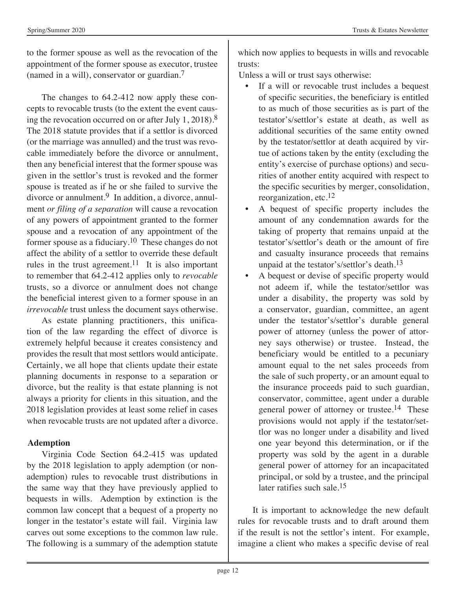to the former spouse as well as the revocation of the appointment of the former spouse as executor, trustee (named in a will), conservator or guardian.7

The changes to 64.2-412 now apply these concepts to revocable trusts (to the extent the event causing the revocation occurred on or after July 1, 2018).8 The 2018 statute provides that if a settlor is divorced (or the marriage was annulled) and the trust was revocable immediately before the divorce or annulment, then any beneficial interest that the former spouse was given in the settlor's trust is revoked and the former spouse is treated as if he or she failed to survive the divorce or annulment.<sup>9</sup> In addition, a divorce, annulment *or filing of a separation* will cause a revocation of any powers of appointment granted to the former spouse and a revocation of any appointment of the former spouse as a fiduciary.10 These changes do not affect the ability of a settlor to override these default rules in the trust agreement.<sup>11</sup> It is also important to remember that 64.2-412 applies only to *revocable*  trusts, so a divorce or annulment does not change the beneficial interest given to a former spouse in an *irrevocable* trust unless the document says otherwise.

As estate planning practitioners, this unification of the law regarding the effect of divorce is extremely helpful because it creates consistency and provides the result that most settlors would anticipate. Certainly, we all hope that clients update their estate planning documents in response to a separation or divorce, but the reality is that estate planning is not always a priority for clients in this situation, and the 2018 legislation provides at least some relief in cases when revocable trusts are not updated after a divorce.

#### **Ademption**

Virginia Code Section 64.2-415 was updated by the 2018 legislation to apply ademption (or nonademption) rules to revocable trust distributions in the same way that they have previously applied to bequests in wills. Ademption by extinction is the common law concept that a bequest of a property no longer in the testator's estate will fail. Virginia law carves out some exceptions to the common law rule. The following is a summary of the ademption statute

which now applies to bequests in wills and revocable trusts:

Unless a will or trust says otherwise:

- If a will or revocable trust includes a bequest of specific securities, the beneficiary is entitled to as much of those securities as is part of the testator's/settlor's estate at death, as well as additional securities of the same entity owned by the testator/settlor at death acquired by virtue of actions taken by the entity (excluding the entity's exercise of purchase options) and securities of another entity acquired with respect to the specific securities by merger, consolidation, reorganization, etc.12
- A bequest of specific property includes the amount of any condemnation awards for the taking of property that remains unpaid at the testator's/settlor's death or the amount of fire and casualty insurance proceeds that remains unpaid at the testator's/settlor's death.13
- A bequest or devise of specific property would not adeem if, while the testator/settlor was under a disability, the property was sold by a conservator, guardian, committee, an agent under the testator's/settlor's durable general power of attorney (unless the power of attorney says otherwise) or trustee. Instead, the beneficiary would be entitled to a pecuniary amount equal to the net sales proceeds from the sale of such property, or an amount equal to the insurance proceeds paid to such guardian, conservator, committee, agent under a durable general power of attorney or trustee.14 These provisions would not apply if the testator/settlor was no longer under a disability and lived one year beyond this determination, or if the property was sold by the agent in a durable general power of attorney for an incapacitated principal, or sold by a trustee, and the principal later ratifies such sale.15

It is important to acknowledge the new default rules for revocable trusts and to draft around them if the result is not the settlor's intent. For example, imagine a client who makes a specific devise of real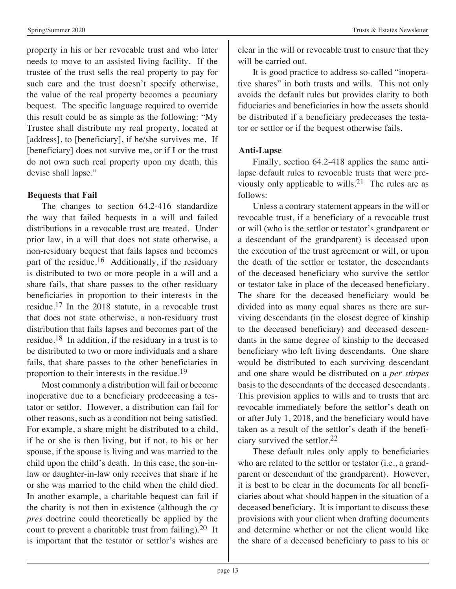property in his or her revocable trust and who later needs to move to an assisted living facility. If the trustee of the trust sells the real property to pay for such care and the trust doesn't specify otherwise, the value of the real property becomes a pecuniary bequest. The specific language required to override this result could be as simple as the following: "My Trustee shall distribute my real property, located at [address], to [beneficiary], if he/she survives me. If [beneficiary] does not survive me, or if I or the trust do not own such real property upon my death, this

#### **Bequests that Fail**

devise shall lapse."

The changes to section 64.2-416 standardize the way that failed bequests in a will and failed distributions in a revocable trust are treated. Under prior law, in a will that does not state otherwise, a non-residuary bequest that fails lapses and becomes part of the residue.<sup>16</sup> Additionally, if the residuary is distributed to two or more people in a will and a share fails, that share passes to the other residuary beneficiaries in proportion to their interests in the residue.17 In the 2018 statute, in a revocable trust that does not state otherwise, a non-residuary trust distribution that fails lapses and becomes part of the residue.18 In addition, if the residuary in a trust is to be distributed to two or more individuals and a share fails, that share passes to the other beneficiaries in proportion to their interests in the residue.19

Most commonly a distribution will fail or become inoperative due to a beneficiary predeceasing a testator or settlor. However, a distribution can fail for other reasons, such as a condition not being satisfied. For example, a share might be distributed to a child, if he or she is then living, but if not, to his or her spouse, if the spouse is living and was married to the child upon the child's death. In this case, the son-inlaw or daughter-in-law only receives that share if he or she was married to the child when the child died. In another example, a charitable bequest can fail if the charity is not then in existence (although the *cy pres* doctrine could theoretically be applied by the court to prevent a charitable trust from failing).20 It is important that the testator or settlor's wishes are clear in the will or revocable trust to ensure that they will be carried out.

It is good practice to address so-called "inoperative shares" in both trusts and wills. This not only avoids the default rules but provides clarity to both fiduciaries and beneficiaries in how the assets should be distributed if a beneficiary predeceases the testator or settlor or if the bequest otherwise fails.

# **Anti-Lapse**

Finally, section 64.2-418 applies the same antilapse default rules to revocable trusts that were previously only applicable to wills.21 The rules are as follows:

Unless a contrary statement appears in the will or revocable trust, if a beneficiary of a revocable trust or will (who is the settlor or testator's grandparent or a descendant of the grandparent) is deceased upon the execution of the trust agreement or will, or upon the death of the settlor or testator, the descendants of the deceased beneficiary who survive the settlor or testator take in place of the deceased beneficiary. The share for the deceased beneficiary would be divided into as many equal shares as there are surviving descendants (in the closest degree of kinship to the deceased beneficiary) and deceased descendants in the same degree of kinship to the deceased beneficiary who left living descendants. One share would be distributed to each surviving descendant and one share would be distributed on a *per stirpes* basis to the descendants of the deceased descendants. This provision applies to wills and to trusts that are revocable immediately before the settlor's death on or after July 1, 2018, and the beneficiary would have taken as a result of the settlor's death if the beneficiary survived the settlor.22

These default rules only apply to beneficiaries who are related to the settlor or testator (i.e., a grandparent or descendant of the grandparent). However, it is best to be clear in the documents for all beneficiaries about what should happen in the situation of a deceased beneficiary. It is important to discuss these provisions with your client when drafting documents and determine whether or not the client would like the share of a deceased beneficiary to pass to his or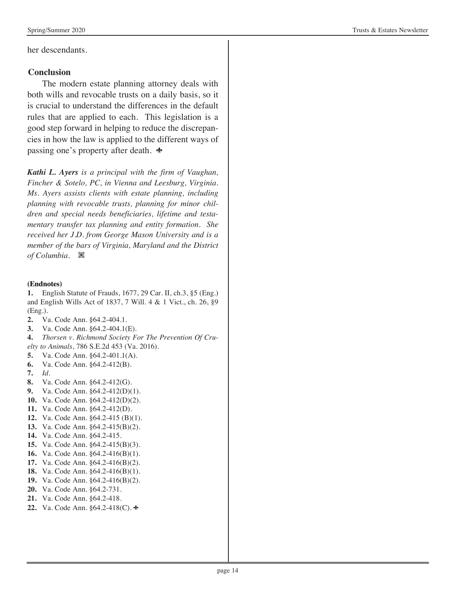her descendants.

#### **Conclusion**

The modern estate planning attorney deals with both wills and revocable trusts on a daily basis, so it is crucial to understand the differences in the default rules that are applied to each. This legislation is a good step forward in helping to reduce the discrepancies in how the law is applied to the different ways of passing one's property after death.  $\triangle$ 

*Kathi L. Ayers is a principal with the firm of Vaughan, Fincher & Sotelo, PC, in Vienna and Leesburg, Virginia. Ms. Ayers assists clients with estate planning, including planning with revocable trusts, planning for minor children and special needs beneficiaries, lifetime and testamentary transfer tax planning and entity formation. She received her J.D. from George Mason University and is a member of the bars of Virginia, Maryland and the District*  of Columbia. **※** 

#### **(Endnotes)**

**1.** English Statute of Frauds, 1677, 29 Car. II, ch.3, §5 (Eng.) and English Wills Act of 1837, 7 Will. 4 & 1 Vict., ch. 26, §9 (Eng.).

- **2.** Va. Code Ann. §64.2-404.1.
- **3.** Va. Code Ann. §64.2-404.1(E).

**4.** *Thorsen v. Richmond Society For The Prevention Of Cruelty to Animals*, 786 S.E.2d 453 (Va. 2016).

- **5.** Va. Code Ann. §64.2-401.1(A).
- **6.** Va. Code Ann. §64.2-412(B).
- **7.** *Id.*
- **8.** Va. Code Ann. §64.2-412(G).
- **9.** Va. Code Ann. §64.2-412(D)(1).
- **10.** Va. Code Ann. §64.2-412(D)(2).
- **11.** Va. Code Ann. §64.2-412(D).
- **12.** Va. Code Ann. §64.2-415 (B)(1).
- **13.** Va. Code Ann. §64.2-415(B)(2).
- **14.** Va. Code Ann. §64.2-415.
- **15.** Va. Code Ann. §64.2-415(B)(3).
- **16.** Va. Code Ann. §64.2-416(B)(1).
- **17.** Va. Code Ann. §64.2-416(B)(2).
- **18.** Va. Code Ann. §64.2-416(B)(1).
- **19.** Va. Code Ann. §64.2-416(B)(2).
- **20.** Va. Code Ann. §64.2-731.
- **21.** Va. Code Ann. §64.2-418.
- **22.** Va. Code Ann. §64.2-418(C).  $\triangle$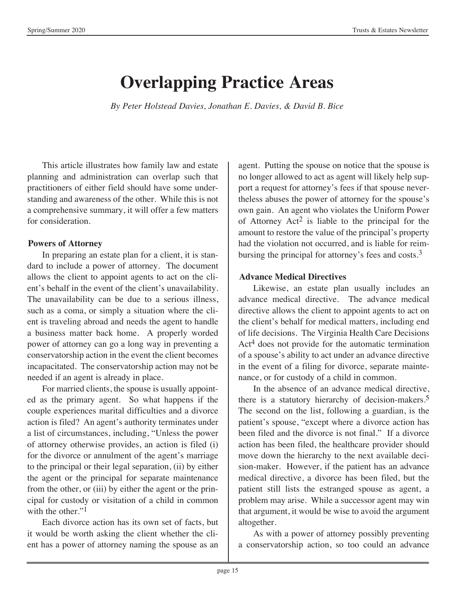# **Overlapping Practice Areas**

*By Peter Holstead Davies, Jonathan E. Davies, & David B. Bice*

This article illustrates how family law and estate planning and administration can overlap such that practitioners of either field should have some understanding and awareness of the other. While this is not a comprehensive summary, it will offer a few matters for consideration.

### **Powers of Attorney**

In preparing an estate plan for a client, it is standard to include a power of attorney. The document allows the client to appoint agents to act on the client's behalf in the event of the client's unavailability. The unavailability can be due to a serious illness, such as a coma, or simply a situation where the client is traveling abroad and needs the agent to handle a business matter back home. A properly worded power of attorney can go a long way in preventing a conservatorship action in the event the client becomes incapacitated. The conservatorship action may not be needed if an agent is already in place.

For married clients, the spouse is usually appointed as the primary agent. So what happens if the couple experiences marital difficulties and a divorce action is filed? An agent's authority terminates under a list of circumstances, including, "Unless the power of attorney otherwise provides, an action is filed (i) for the divorce or annulment of the agent's marriage to the principal or their legal separation, (ii) by either the agent or the principal for separate maintenance from the other, or (iii) by either the agent or the principal for custody or visitation of a child in common with the other."<sup>1</sup>

Each divorce action has its own set of facts, but it would be worth asking the client whether the client has a power of attorney naming the spouse as an

agent. Putting the spouse on notice that the spouse is no longer allowed to act as agent will likely help support a request for attorney's fees if that spouse nevertheless abuses the power of attorney for the spouse's own gain. An agent who violates the Uniform Power of Attorney  $Act^2$  is liable to the principal for the amount to restore the value of the principal's property had the violation not occurred, and is liable for reimbursing the principal for attorney's fees and costs. $3$ 

# **Advance Medical Directives**

Likewise, an estate plan usually includes an advance medical directive. The advance medical directive allows the client to appoint agents to act on the client's behalf for medical matters, including end of life decisions. The Virginia Health Care Decisions Act<sup>4</sup> does not provide for the automatic termination of a spouse's ability to act under an advance directive in the event of a filing for divorce, separate maintenance, or for custody of a child in common.

In the absence of an advance medical directive, there is a statutory hierarchy of decision-makers.5 The second on the list, following a guardian, is the patient's spouse, "except where a divorce action has been filed and the divorce is not final." If a divorce action has been filed, the healthcare provider should move down the hierarchy to the next available decision-maker. However, if the patient has an advance medical directive, a divorce has been filed, but the patient still lists the estranged spouse as agent, a problem may arise. While a successor agent may win that argument, it would be wise to avoid the argument altogether.

As with a power of attorney possibly preventing a conservatorship action, so too could an advance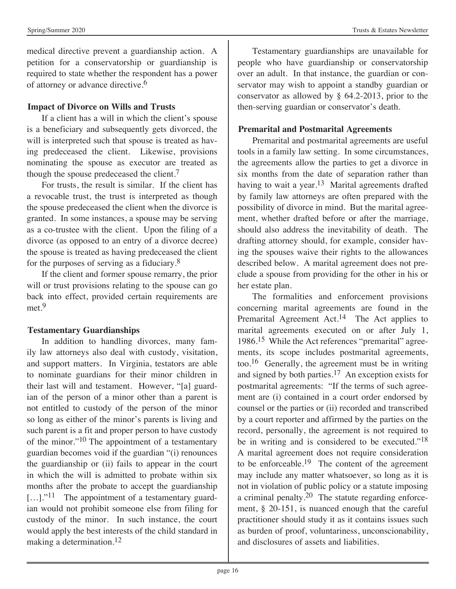medical directive prevent a guardianship action. A petition for a conservatorship or guardianship is required to state whether the respondent has a power of attorney or advance directive.6

# **Impact of Divorce on Wills and Trusts**

If a client has a will in which the client's spouse is a beneficiary and subsequently gets divorced, the will is interpreted such that spouse is treated as having predeceased the client. Likewise, provisions nominating the spouse as executor are treated as though the spouse predeceased the client.7

For trusts, the result is similar. If the client has a revocable trust, the trust is interpreted as though the spouse predeceased the client when the divorce is granted. In some instances, a spouse may be serving as a co-trustee with the client. Upon the filing of a divorce (as opposed to an entry of a divorce decree) the spouse is treated as having predeceased the client for the purposes of serving as a fiduciary.8

If the client and former spouse remarry, the prior will or trust provisions relating to the spouse can go back into effect, provided certain requirements are met.<sup>9</sup>

# **Testamentary Guardianships**

In addition to handling divorces, many family law attorneys also deal with custody, visitation, and support matters. In Virginia, testators are able to nominate guardians for their minor children in their last will and testament. However, "[a] guardian of the person of a minor other than a parent is not entitled to custody of the person of the minor so long as either of the minor's parents is living and such parent is a fit and proper person to have custody of the minor."<sup>10</sup> The appointment of a testamentary guardian becomes void if the guardian "(i) renounces the guardianship or (ii) fails to appear in the court in which the will is admitted to probate within six months after the probate to accept the guardianship  $[\dots]$ ."<sup>11</sup> The appointment of a testamentary guardian would not prohibit someone else from filing for custody of the minor. In such instance, the court would apply the best interests of the child standard in making a determination.<sup>12</sup>

Testamentary guardianships are unavailable for people who have guardianship or conservatorship over an adult. In that instance, the guardian or conservator may wish to appoint a standby guardian or conservator as allowed by § 64.2-2013, prior to the then-serving guardian or conservator's death.

# **Premarital and Postmarital Agreements**

Premarital and postmarital agreements are useful tools in a family law setting. In some circumstances, the agreements allow the parties to get a divorce in six months from the date of separation rather than having to wait a year.<sup>13</sup> Marital agreements drafted by family law attorneys are often prepared with the possibility of divorce in mind. But the marital agreement, whether drafted before or after the marriage, should also address the inevitability of death. The drafting attorney should, for example, consider having the spouses waive their rights to the allowances described below. A marital agreement does not preclude a spouse from providing for the other in his or her estate plan.

The formalities and enforcement provisions concerning marital agreements are found in the Premarital Agreement Act.<sup>14</sup> The Act applies to marital agreements executed on or after July 1, 1986.15 While the Act references "premarital" agreements, its scope includes postmarital agreements, too.16 Generally, the agreement must be in writing and signed by both parties.17 An exception exists for postmarital agreements: "If the terms of such agreement are (i) contained in a court order endorsed by counsel or the parties or (ii) recorded and transcribed by a court reporter and affirmed by the parties on the record, personally, the agreement is not required to be in writing and is considered to be executed."<sup>18</sup> A marital agreement does not require consideration to be enforceable.<sup>19</sup> The content of the agreement may include any matter whatsoever, so long as it is not in violation of public policy or a statute imposing a criminal penalty.20 The statute regarding enforcement, § 20-151, is nuanced enough that the careful practitioner should study it as it contains issues such as burden of proof, voluntariness, unconscionability, and disclosures of assets and liabilities.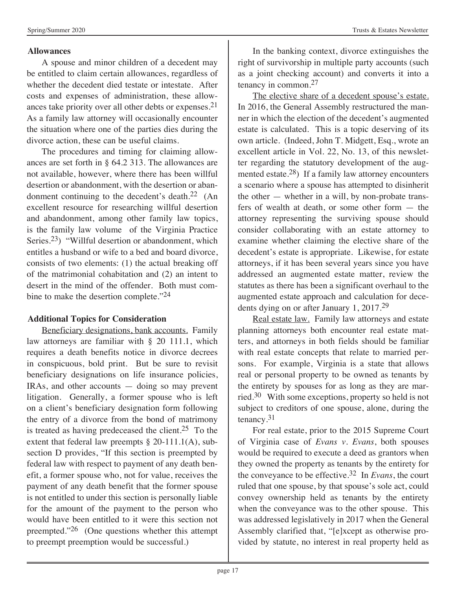#### **Allowances**

A spouse and minor children of a decedent may be entitled to claim certain allowances, regardless of whether the decedent died testate or intestate. After costs and expenses of administration, these allowances take priority over all other debts or expenses.21 As a family law attorney will occasionally encounter the situation where one of the parties dies during the divorce action, these can be useful claims.

The procedures and timing for claiming allowances are set forth in § 64.2 313. The allowances are not available, however, where there has been willful desertion or abandonment, with the desertion or abandonment continuing to the decedent's death.<sup>22</sup> (An excellent resource for researching willful desertion and abandonment, among other family law topics, is the family law volume of the Virginia Practice Series.<sup>23</sup>) "Willful desertion or abandonment, which entitles a husband or wife to a bed and board divorce, consists of two elements: (1) the actual breaking off of the matrimonial cohabitation and (2) an intent to desert in the mind of the offender. Both must combine to make the desertion complete."<sup>24</sup>

# **Additional Topics for Consideration**

Beneficiary designations, bank accounts. Family law attorneys are familiar with § 20 111.1, which requires a death benefits notice in divorce decrees in conspicuous, bold print. But be sure to revisit beneficiary designations on life insurance policies, IRAs, and other accounts — doing so may prevent litigation. Generally, a former spouse who is left on a client's beneficiary designation form following the entry of a divorce from the bond of matrimony is treated as having predeceased the client.<sup>25</sup> To the extent that federal law preempts  $\S 20-111.1(A)$ , subsection D provides, "If this section is preempted by federal law with respect to payment of any death benefit, a former spouse who, not for value, receives the payment of any death benefit that the former spouse is not entitled to under this section is personally liable for the amount of the payment to the person who would have been entitled to it were this section not preempted."26 (One questions whether this attempt to preempt preemption would be successful.)

In the banking context, divorce extinguishes the right of survivorship in multiple party accounts (such as a joint checking account) and converts it into a tenancy in common.27

The elective share of a decedent spouse's estate. In 2016, the General Assembly restructured the manner in which the election of the decedent's augmented estate is calculated. This is a topic deserving of its own article. (Indeed, John T. Midgett, Esq., wrote an excellent article in Vol. 22, No. 13, of this newsletter regarding the statutory development of the augmented estate.28) If a family law attorney encounters a scenario where a spouse has attempted to disinherit the other — whether in a will, by non-probate transfers of wealth at death, or some other form — the attorney representing the surviving spouse should consider collaborating with an estate attorney to examine whether claiming the elective share of the decedent's estate is appropriate. Likewise, for estate attorneys, if it has been several years since you have addressed an augmented estate matter, review the statutes as there has been a significant overhaul to the augmented estate approach and calculation for decedents dying on or after January 1, 2017.29

Real estate law. Family law attorneys and estate planning attorneys both encounter real estate matters, and attorneys in both fields should be familiar with real estate concepts that relate to married persons. For example, Virginia is a state that allows real or personal property to be owned as tenants by the entirety by spouses for as long as they are married.30 With some exceptions, property so held is not subject to creditors of one spouse, alone, during the tenancy.31

For real estate, prior to the 2015 Supreme Court of Virginia case of *Evans v. Evans*, both spouses would be required to execute a deed as grantors when they owned the property as tenants by the entirety for the conveyance to be effective.32 In *Evans*, the court ruled that one spouse, by that spouse's sole act, could convey ownership held as tenants by the entirety when the conveyance was to the other spouse. This was addressed legislatively in 2017 when the General Assembly clarified that, "[e]xcept as otherwise provided by statute, no interest in real property held as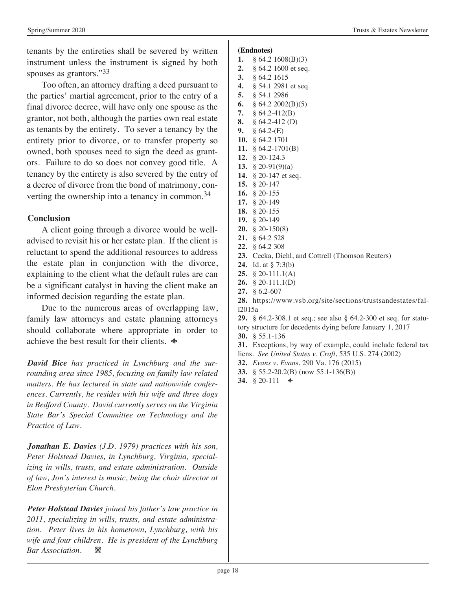Spring/Summer 2020 Trusts & Estates Newsletter

tenants by the entireties shall be severed by written instrument unless the instrument is signed by both spouses as grantors."33

Too often, an attorney drafting a deed pursuant to the parties' martial agreement, prior to the entry of a final divorce decree, will have only one spouse as the grantor, not both, although the parties own real estate as tenants by the entirety. To sever a tenancy by the entirety prior to divorce, or to transfer property so owned, both spouses need to sign the deed as grantors. Failure to do so does not convey good title. A tenancy by the entirety is also severed by the entry of a decree of divorce from the bond of matrimony, converting the ownership into a tenancy in common.<sup>34</sup>

### **Conclusion**

A client going through a divorce would be welladvised to revisit his or her estate plan. If the client is reluctant to spend the additional resources to address the estate plan in conjunction with the divorce, explaining to the client what the default rules are can be a significant catalyst in having the client make an informed decision regarding the estate plan.

Due to the numerous areas of overlapping law, family law attorneys and estate planning attorneys should collaborate where appropriate in order to achieve the best result for their clients.  $\triangle$ 

*David Bice has practiced in Lynchburg and the surrounding area since 1985, focusing on family law related matters. He has lectured in state and nationwide conferences. Currently, he resides with his wife and three dogs in Bedford County. David currently serves on the Virginia State Bar's Special Committee on Technology and the Practice of Law.*

*Jonathan E. Davies (J.D. 1979) practices with his son, Peter Holstead Davies, in Lynchburg, Virginia, specializing in wills, trusts, and estate administration. Outside of law, Jon's interest is music, being the choir director at Elon Presbyterian Church.*

*Peter Holstead Davies joined his father's law practice in 2011, specializing in wills, trusts, and estate administration. Peter lives in his hometown, Lynchburg, with his wife and four children. He is president of the Lynchburg*  **Bar Association.** ※

#### **(Endnotes)**

- **1.** § 64.2 1608(B)(3) **2.** § 64.2 1600 et seq. **3.** § 64.2 1615 **4.** § 54.1 2981 et seq. **5.** § 54.1 2986 **6.** § 64.2 2002(B)(5) **7.** § 64.2-412(B) **8.** § 64.2-412 (D) **9.** § 64.2-(E) **10.** § 64.2 1701 **11.** § 64.2-1701(B) **12.** § 20-124.3 **13.** § 20-91(9)(a) **14.** § 20-147 et seq. **15.** § 20-147 **16.** § 20-155 **17.** § 20-149 **18.** § 20-155 **19.** § 20-149 **20.** § 20-150(8) **21.** § 64.2 528 **22.** § 64.2 308 **23.** Cecka, Diehl, and Cottrell (Thomson Reuters) **24.** Id. at § 7:3(b) **25.** § 20-111.1(A) **26.** § 20-111.1(D) **27.** § 6.2-607 **28.** https://www.vsb.org/site/sections/trustsandestates/fall2015a **29.** § 64.2-308.1 et seq.; see also § 64.2-300 et seq. for statutory structure for decedents dying before January 1, 2017 **30.** § 55.1-136 **31.** Exceptions, by way of example, could include federal tax liens. *See United States v. Craft*, 535 U.S. 274 (2002) **32.** *Evans v. Evan*s, 290 Va. 176 (2015)
- **33.** § 55.2-20.2(B) (now 55.1-136(B))
- 34.  $§ 20-111$   $\bullet$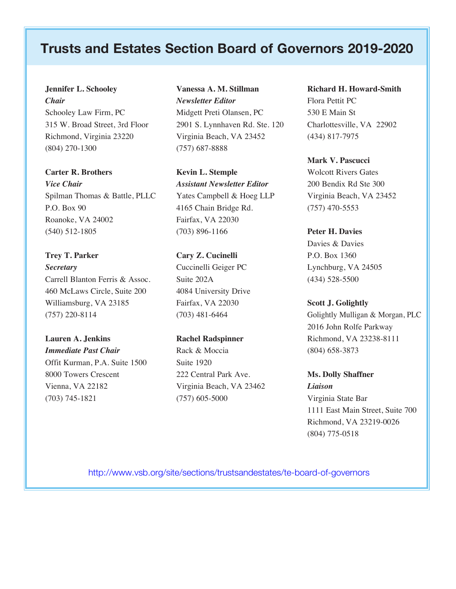# **Trusts and Estates Section Board of Governors 2019-2020**

#### **Jennifer L. Schooley** *Chair*

Schooley Law Firm, PC 315 W. Broad Street, 3rd Floor Richmond, Virginia 23220 (804) 270-1300

#### **Carter R. Brothers**

*Vice Chair* Spilman Thomas & Battle, PLLC P.O. Box 90 Roanoke, VA 24002 (540) 512-1805

**Trey T. Parker** *Secretary* Carrell Blanton Ferris & Assoc. 460 McLaws Circle, Suite 200 Williamsburg, VA 23185 (757) 220-8114

**Lauren A. Jenkins** *Immediate Past Chair* Offit Kurman, P.A. Suite 1500 8000 Towers Crescent Vienna, VA 22182 (703) 745-1821

# **Vanessa A. M. Stillman** *Newsletter Editor* Midgett Preti Olansen, PC

2901 S. Lynnhaven Rd. Ste. 120 Virginia Beach, VA 23452 (757) 687-8888

**Kevin L. Stemple** *Assistant Newsletter Editor* Yates Campbell & Hoeg LLP 4165 Chain Bridge Rd. Fairfax, VA 22030 (703) 896-1166

# **Cary Z. Cucinelli** Cuccinelli Geiger PC Suite 202A 4084 University Drive Fairfax, VA 22030 (703) 481-6464

**Rachel Radspinner** Rack & Moccia Suite 1920 222 Central Park Ave. Virginia Beach, VA 23462 (757) 605-5000

#### **Richard H. Howard-Smith**

Flora Pettit PC 530 E Main St Charlottesville, VA 22902 (434) 817-7975

#### **Mark V. Pascucci**

Wolcott Rivers Gates 200 Bendix Rd Ste 300 Virginia Beach, VA 23452 (757) 470-5553

#### **Peter H. Davies**

Davies & Davies P.O. Box 1360 Lynchburg, VA 24505 (434) 528-5500

#### **Scott J. Golightly**

Golightly Mulligan & Morgan, PLC 2016 John Rolfe Parkway Richmond, VA 23238-8111 (804) 658-3873

# **Ms. Dolly Shaffner** *Liaison* Virginia State Bar 1111 East Main Street, Suite 700 Richmond, VA 23219-0026 (804) 775-0518

http://www.vsb.org/site/sections/trustsandestates/te-board-of-governors